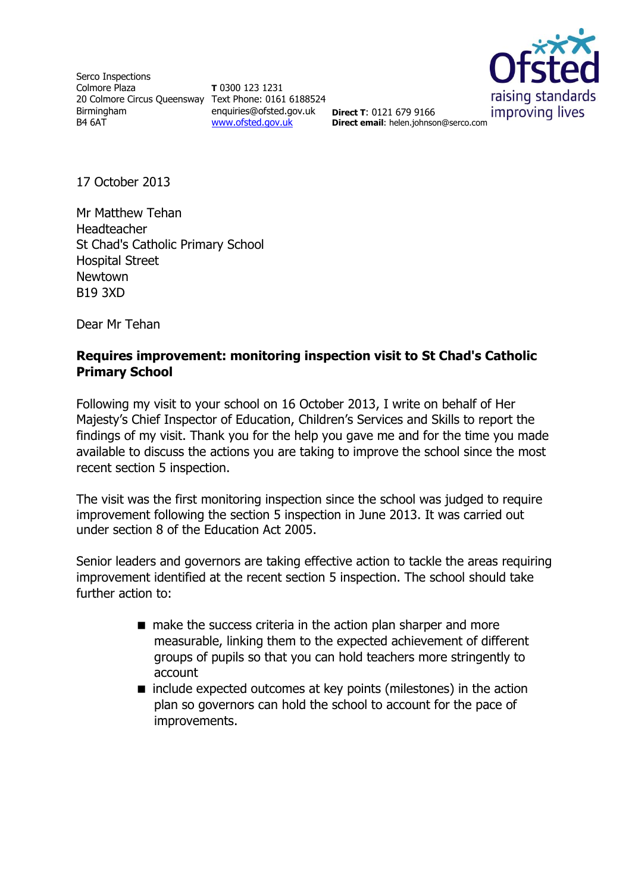Serco Inspections Colmore Plaza 20 Colmore Circus Queensway Text Phone: 0161 6188524 Birmingham B4 6AT

**T** 0300 123 1231 enquiries@ofsted.gov.uk **Direct T**: 0121 679 9166 [www.ofsted.gov.uk](http://www.ofsted.gov.uk/)



**Direct email**: helen.johnson@serco.com

17 October 2013

Mr Matthew Tehan Headteacher St Chad's Catholic Primary School Hospital Street Newtown B19 3XD

Dear Mr Tehan

### **Requires improvement: monitoring inspection visit to St Chad's Catholic Primary School**

Following my visit to your school on 16 October 2013, I write on behalf of Her Majesty's Chief Inspector of Education, Children's Services and Skills to report the findings of my visit. Thank you for the help you gave me and for the time you made available to discuss the actions you are taking to improve the school since the most recent section 5 inspection.

The visit was the first monitoring inspection since the school was judged to require improvement following the section 5 inspection in June 2013. It was carried out under section 8 of the Education Act 2005.

Senior leaders and governors are taking effective action to tackle the areas requiring improvement identified at the recent section 5 inspection. The school should take further action to:

- make the success criteria in the action plan sharper and more measurable, linking them to the expected achievement of different groups of pupils so that you can hold teachers more stringently to account
- include expected outcomes at key points (milestones) in the action plan so governors can hold the school to account for the pace of improvements.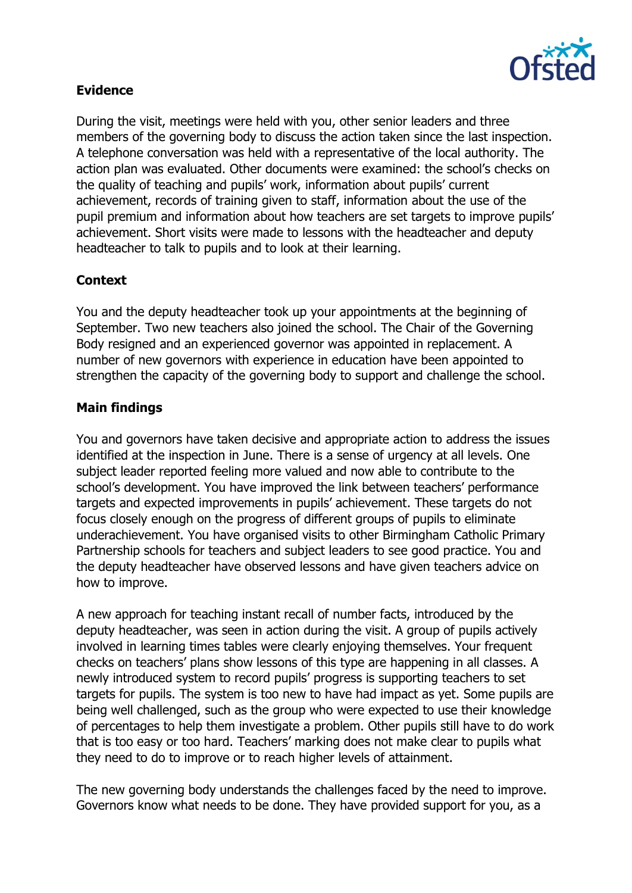

# **Evidence**

During the visit, meetings were held with you, other senior leaders and three members of the governing body to discuss the action taken since the last inspection. A telephone conversation was held with a representative of the local authority. The action plan was evaluated. Other documents were examined: the school's checks on the quality of teaching and pupils' work, information about pupils' current achievement, records of training given to staff, information about the use of the pupil premium and information about how teachers are set targets to improve pupils' achievement. Short visits were made to lessons with the headteacher and deputy headteacher to talk to pupils and to look at their learning.

# **Context**

You and the deputy headteacher took up your appointments at the beginning of September. Two new teachers also joined the school. The Chair of the Governing Body resigned and an experienced governor was appointed in replacement. A number of new governors with experience in education have been appointed to strengthen the capacity of the governing body to support and challenge the school.

### **Main findings**

You and governors have taken decisive and appropriate action to address the issues identified at the inspection in June. There is a sense of urgency at all levels. One subject leader reported feeling more valued and now able to contribute to the school's development. You have improved the link between teachers' performance targets and expected improvements in pupils' achievement. These targets do not focus closely enough on the progress of different groups of pupils to eliminate underachievement. You have organised visits to other Birmingham Catholic Primary Partnership schools for teachers and subject leaders to see good practice. You and the deputy headteacher have observed lessons and have given teachers advice on how to improve.

A new approach for teaching instant recall of number facts, introduced by the deputy headteacher, was seen in action during the visit. A group of pupils actively involved in learning times tables were clearly enjoying themselves. Your frequent checks on teachers' plans show lessons of this type are happening in all classes. A newly introduced system to record pupils' progress is supporting teachers to set targets for pupils. The system is too new to have had impact as yet. Some pupils are being well challenged, such as the group who were expected to use their knowledge of percentages to help them investigate a problem. Other pupils still have to do work that is too easy or too hard. Teachers' marking does not make clear to pupils what they need to do to improve or to reach higher levels of attainment.

The new governing body understands the challenges faced by the need to improve. Governors know what needs to be done. They have provided support for you, as a